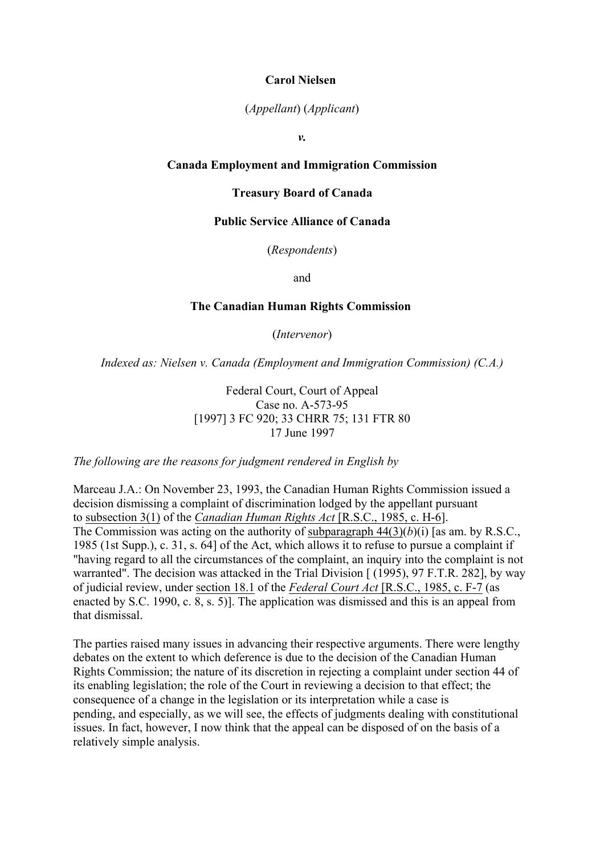# **Carol Nielsen**

# (*Appellant*) (*Applicant*)

*v.*

# **Canada Employment and Immigration Commission**

#### **Treasury Board of Canada**

# **Public Service Alliance of Canada**

(*Respondents*)

and

# **The Canadian Human Rights Commission**

(*Intervenor*)

*Indexed as: Nielsen v. Canada (Employment and Immigration Commission) (C.A.)*

Federal Court, Court of Appeal Case no. A-573-95 [1997] 3 FC 920; 33 CHRR 75: 131 FTR 80 17 June 1997

*The following are the reasons for judgment rendered in English by*

Marceau J.A.: On November 23, 1993, the Canadian Human Rights Commission issued a decision dismissing a complaint of discrimination lodged by the appellant pursuant to subsection 3(1) of the *Canadian Human Rights Act* [R.S.C., 1985, c. H-6]. The Commission was acting on the authority of subparagraph 44(3)(*b*)(i) [as am. by R.S.C., 1985 (1st Supp.), c. 31, s. 64] of the Act, which allows it to refuse to pursue a complaint if "having regard to all the circumstances of the complaint, an inquiry into the complaint is not warranted". The decision was attacked in the Trial Division [ (1995), 97 F.T.R. 282], by way of judicial review, under section 18.1 of the *Federal Court Act* [R.S.C., 1985, c. F-7 (as enacted by S.C. 1990, c. 8, s. 5)]. The application was dismissed and this is an appeal from that dismissal.

The parties raised many issues in advancing their respective arguments. There were lengthy debates on the extent to which deference is due to the decision of the Canadian Human Rights Commission; the nature of its discretion in rejecting a complaint under section 44 of its enabling legislation; the role of the Court in reviewing a decision to that effect; the consequence of a change in the legislation or its interpretation while a case is pending, and especially, as we will see, the effects of judgments dealing with constitutional issues. In fact, however, I now think that the appeal can be disposed of on the basis of a relatively simple analysis.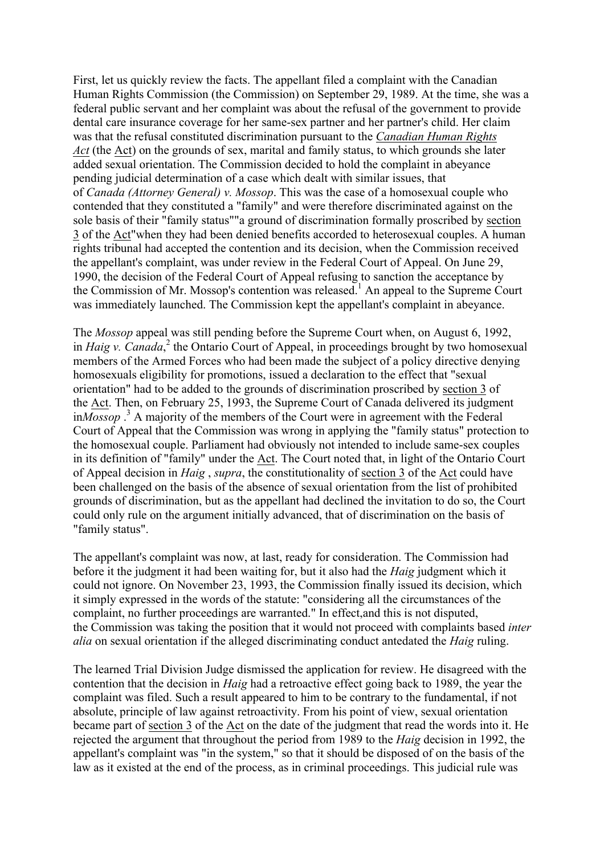First, let us quickly review the facts. The appellant filed a complaint with the Canadian Human Rights Commission (the Commission) on September 29, 1989. At the time, she was a federal public servant and her complaint was about the refusal of the government to provide dental care insurance coverage for her same-sex partner and her partner's child. Her claim was that the refusal constituted discrimination pursuant to the *Canadian Human Rights Act* (the Act) on the grounds of sex, marital and family status, to which grounds she later added sexual orientation. The Commission decided to hold the complaint in abeyance pending judicial determination of a case which dealt with similar issues, that of *Canada (Attorney General) v. Mossop*. This was the case of a homosexual couple who contended that they constituted a "family" and were therefore discriminated against on the sole basis of their "family status""a ground of discrimination formally proscribed by section 3 of the Act"when they had been denied benefits accorded to heterosexual couples. A human rights tribunal had accepted the contention and its decision, when the Commission received the appellant's complaint, was under review in the Federal Court of Appeal. On June 29, 1990, the decision of the Federal Court of Appeal refusing to sanction the acceptance by the Commission of Mr. Mossop's contention was released.<sup>1</sup> An appeal to the Supreme Court was immediately launched. The Commission kept the appellant's complaint in abeyance.

The *Mossop* appeal was still pending before the Supreme Court when, on August 6, 1992, in *Haig v. Canada*, <sup>2</sup> the Ontario Court of Appeal, in proceedings brought by two homosexual members of the Armed Forces who had been made the subject of a policy directive denying homosexuals eligibility for promotions, issued a declaration to the effect that "sexual orientation" had to be added to the grounds of discrimination proscribed by section 3 of the Act. Then, on February 25, 1993, the Supreme Court of Canada delivered its judgment in*Mossop* . <sup>3</sup> A majority of the members of the Court were in agreement with the Federal Court of Appeal that the Commission was wrong in applying the "family status" protection to the homosexual couple. Parliament had obviously not intended to include same-sex couples in its definition of "family" under the Act. The Court noted that, in light of the Ontario Court of Appeal decision in *Haig* , *supra*, the constitutionality of section 3 of the Act could have been challenged on the basis of the absence of sexual orientation from the list of prohibited grounds of discrimination, but as the appellant had declined the invitation to do so, the Court could only rule on the argument initially advanced, that of discrimination on the basis of "family status".

The appellant's complaint was now, at last, ready for consideration. The Commission had before it the judgment it had been waiting for, but it also had the *Haig* judgment which it could not ignore. On November 23, 1993, the Commission finally issued its decision, which it simply expressed in the words of the statute: "considering all the circumstances of the complaint, no further proceedings are warranted." In effect,and this is not disputed, the Commission was taking the position that it would not proceed with complaints based *inter alia* on sexual orientation if the alleged discriminating conduct antedated the *Haig* ruling.

The learned Trial Division Judge dismissed the application for review. He disagreed with the contention that the decision in *Haig* had a retroactive effect going back to 1989, the year the complaint was filed. Such a result appeared to him to be contrary to the fundamental, if not absolute, principle of law against retroactivity. From his point of view, sexual orientation became part of section 3 of the Act on the date of the judgment that read the words into it. He rejected the argument that throughout the period from 1989 to the *Haig* decision in 1992, the appellant's complaint was "in the system," so that it should be disposed of on the basis of the law as it existed at the end of the process, as in criminal proceedings. This judicial rule was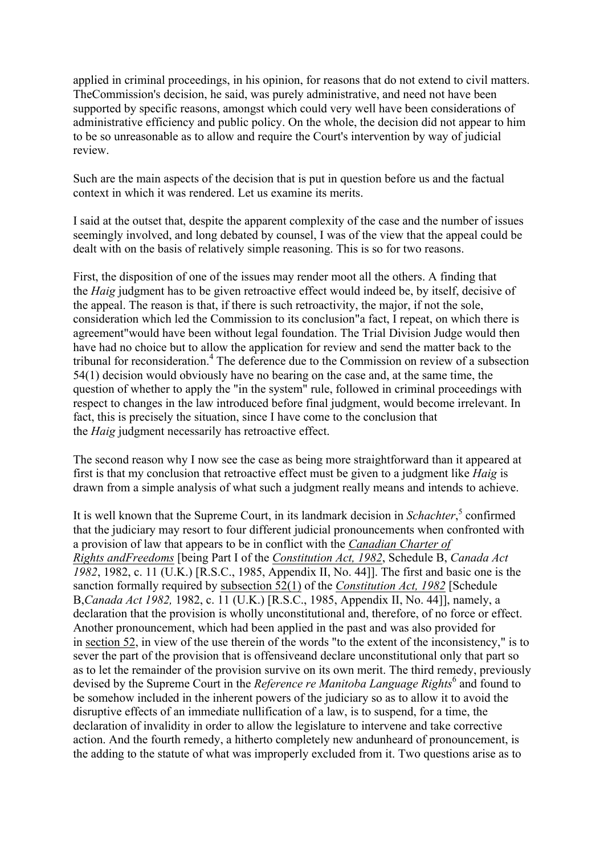applied in criminal proceedings, in his opinion, for reasons that do not extend to civil matters. TheCommission's decision, he said, was purely administrative, and need not have been supported by specific reasons, amongst which could very well have been considerations of administrative efficiency and public policy. On the whole, the decision did not appear to him to be so unreasonable as to allow and require the Court's intervention by way of judicial review.

Such are the main aspects of the decision that is put in question before us and the factual context in which it was rendered. Let us examine its merits.

I said at the outset that, despite the apparent complexity of the case and the number of issues seemingly involved, and long debated by counsel, I was of the view that the appeal could be dealt with on the basis of relatively simple reasoning. This is so for two reasons.

First, the disposition of one of the issues may render moot all the others. A finding that the *Haig* judgment has to be given retroactive effect would indeed be, by itself, decisive of the appeal. The reason is that, if there is such retroactivity, the major, if not the sole, consideration which led the Commission to its conclusion"a fact, I repeat, on which there is agreement"would have been without legal foundation. The Trial Division Judge would then have had no choice but to allow the application for review and send the matter back to the tribunal for reconsideration.<sup>4</sup> The deference due to the Commission on review of a subsection 54(1) decision would obviously have no bearing on the case and, at the same time, the question of whether to apply the "in the system" rule, followed in criminal proceedings with respect to changes in the law introduced before final judgment, would become irrelevant. In fact, this is precisely the situation, since I have come to the conclusion that the *Haig* judgment necessarily has retroactive effect.

The second reason why I now see the case as being more straightforward than it appeared at first is that my conclusion that retroactive effect must be given to a judgment like *Haig* is drawn from a simple analysis of what such a judgment really means and intends to achieve.

It is well known that the Supreme Court, in its landmark decision in *Schachter*, <sup>5</sup> confirmed that the judiciary may resort to four different judicial pronouncements when confronted with a provision of law that appears to be in conflict with the *Canadian Charter of Rights andFreedoms* [being Part I of the *Constitution Act, 1982*, Schedule B, *Canada Act 1982*, 1982, c. 11 (U.K.) [R.S.C., 1985, Appendix II, No. 44]]. The first and basic one is the sanction formally required by subsection 52(1) of the *Constitution Act, 1982* [Schedule B,*Canada Act 1982,* 1982, c. 11 (U.K.) [R.S.C., 1985, Appendix II, No. 44]], namely, a declaration that the provision is wholly unconstitutional and, therefore, of no force or effect. Another pronouncement, which had been applied in the past and was also provided for in section 52, in view of the use therein of the words "to the extent of the inconsistency," is to sever the part of the provision that is offensiveand declare unconstitutional only that part so as to let the remainder of the provision survive on its own merit. The third remedy, previously devised by the Supreme Court in the *Reference re Manitoba Language Rights*<sup>6</sup> and found to be somehow included in the inherent powers of the judiciary so as to allow it to avoid the disruptive effects of an immediate nullification of a law, is to suspend, for a time, the declaration of invalidity in order to allow the legislature to intervene and take corrective action. And the fourth remedy, a hitherto completely new andunheard of pronouncement, is the adding to the statute of what was improperly excluded from it. Two questions arise as to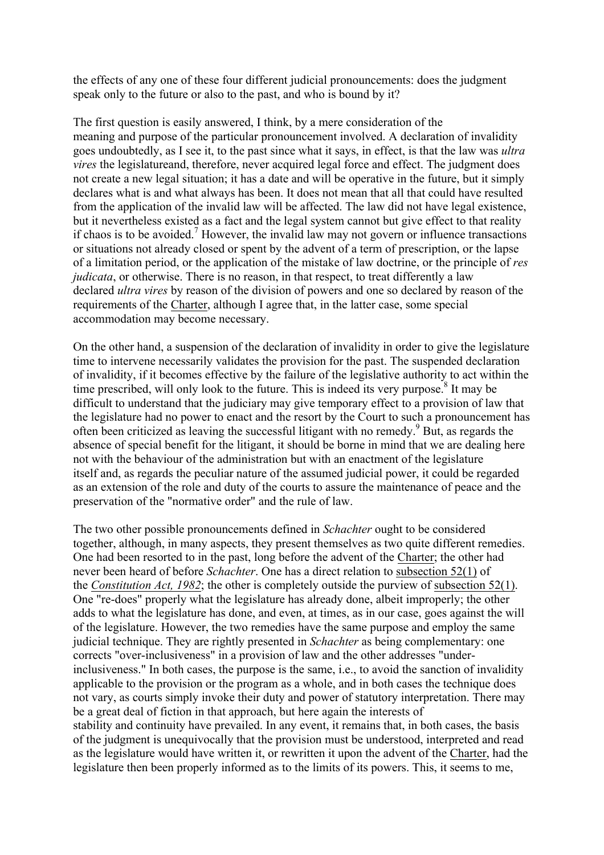the effects of any one of these four different judicial pronouncements: does the judgment speak only to the future or also to the past, and who is bound by it?

The first question is easily answered, I think, by a mere consideration of the meaning and purpose of the particular pronouncement involved. A declaration of invalidity goes undoubtedly, as I see it, to the past since what it says, in effect, is that the law was *ultra vires* the legislatureand, therefore, never acquired legal force and effect. The judgment does not create a new legal situation; it has a date and will be operative in the future, but it simply declares what is and what always has been. It does not mean that all that could have resulted from the application of the invalid law will be affected. The law did not have legal existence, but it nevertheless existed as a fact and the legal system cannot but give effect to that reality if chaos is to be avoided.<sup>7</sup> However, the invalid law may not govern or influence transactions or situations not already closed or spent by the advent of a term of prescription, or the lapse of a limitation period, or the application of the mistake of law doctrine, or the principle of *res judicata*, or otherwise. There is no reason, in that respect, to treat differently a law declared *ultra vires* by reason of the division of powers and one so declared by reason of the requirements of the Charter, although I agree that, in the latter case, some special accommodation may become necessary.

On the other hand, a suspension of the declaration of invalidity in order to give the legislature time to intervene necessarily validates the provision for the past. The suspended declaration of invalidity, if it becomes effective by the failure of the legislative authority to act within the time prescribed, will only look to the future. This is indeed its very purpose.<sup>8</sup> It may be difficult to understand that the judiciary may give temporary effect to a provision of law that the legislature had no power to enact and the resort by the Court to such a pronouncement has often been criticized as leaving the successful litigant with no remedy.<sup>9</sup> But, as regards the absence of special benefit for the litigant, it should be borne in mind that we are dealing here not with the behaviour of the administration but with an enactment of the legislature itself and, as regards the peculiar nature of the assumed judicial power, it could be regarded as an extension of the role and duty of the courts to assure the maintenance of peace and the preservation of the "normative order" and the rule of law.

The two other possible pronouncements defined in *Schachter* ought to be considered together, although, in many aspects, they present themselves as two quite different remedies. One had been resorted to in the past, long before the advent of the Charter; the other had never been heard of before *Schachter*. One has a direct relation to subsection 52(1) of the *Constitution Act, 1982*; the other is completely outside the purview of subsection 52(1). One "re-does" properly what the legislature has already done, albeit improperly; the other adds to what the legislature has done, and even, at times, as in our case, goes against the will of the legislature. However, the two remedies have the same purpose and employ the same judicial technique. They are rightly presented in *Schachter* as being complementary: one corrects "over-inclusiveness" in a provision of law and the other addresses "underinclusiveness." In both cases, the purpose is the same, i.e., to avoid the sanction of invalidity applicable to the provision or the program as a whole, and in both cases the technique does not vary, as courts simply invoke their duty and power of statutory interpretation. There may be a great deal of fiction in that approach, but here again the interests of stability and continuity have prevailed. In any event, it remains that, in both cases, the basis of the judgment is unequivocally that the provision must be understood, interpreted and read as the legislature would have written it, or rewritten it upon the advent of the Charter, had the legislature then been properly informed as to the limits of its powers. This, it seems to me,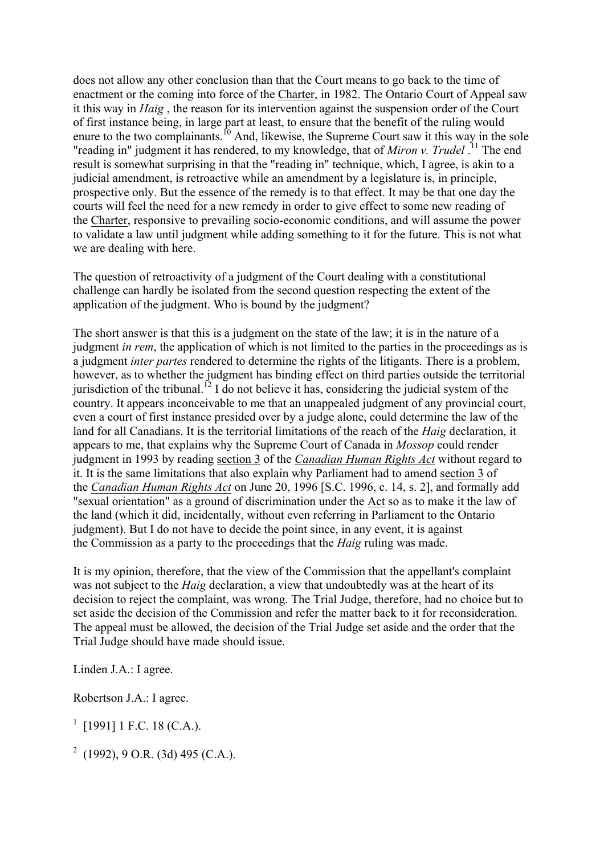does not allow any other conclusion than that the Court means to go back to the time of enactment or the coming into force of the Charter, in 1982. The Ontario Court of Appeal saw it this way in *Haig* , the reason for its intervention against the suspension order of the Court of first instance being, in large part at least, to ensure that the benefit of the ruling would enure to the two complainants.<sup>10</sup> And, likewise, the Supreme Court saw it this way in the sole "reading in" judgment it has rendered, to my knowledge, that of *Miron v. Trudel* . <sup>11</sup> The end result is somewhat surprising in that the "reading in" technique, which, I agree, is akin to a judicial amendment, is retroactive while an amendment by a legislature is, in principle, prospective only. But the essence of the remedy is to that effect. It may be that one day the courts will feel the need for a new remedy in order to give effect to some new reading of the Charter, responsive to prevailing socio-economic conditions, and will assume the power to validate a law until judgment while adding something to it for the future. This is not what we are dealing with here.

The question of retroactivity of a judgment of the Court dealing with a constitutional challenge can hardly be isolated from the second question respecting the extent of the application of the judgment. Who is bound by the judgment?

The short answer is that this is a judgment on the state of the law; it is in the nature of a judgment *in rem*, the application of which is not limited to the parties in the proceedings as is a judgment *inter partes* rendered to determine the rights of the litigants. There is a problem, however, as to whether the judgment has binding effect on third parties outside the territorial jurisdiction of the tribunal.<sup>12</sup> I do not believe it has, considering the judicial system of the country. It appears inconceivable to me that an unappealed judgment of any provincial court, even a court of first instance presided over by a judge alone, could determine the law of the land for all Canadians. It is the territorial limitations of the reach of the *Haig* declaration, it appears to me, that explains why the Supreme Court of Canada in *Mossop* could render judgment in 1993 by reading section 3 of the *Canadian Human Rights Act* without regard to it. It is the same limitations that also explain why Parliament had to amend section 3 of the *Canadian Human Rights Act* on June 20, 1996 [S.C. 1996, c. 14, s. 2], and formally add "sexual orientation" as a ground of discrimination under the Act so as to make it the law of the land (which it did, incidentally, without even referring in Parliament to the Ontario judgment). But I do not have to decide the point since, in any event, it is against the Commission as a party to the proceedings that the *Haig* ruling was made.

It is my opinion, therefore, that the view of the Commission that the appellant's complaint was not subject to the *Haig* declaration, a view that undoubtedly was at the heart of its decision to reject the complaint, was wrong. The Trial Judge, therefore, had no choice but to set aside the decision of the Commission and refer the matter back to it for reconsideration. The appeal must be allowed, the decision of the Trial Judge set aside and the order that the Trial Judge should have made should issue.

Linden J.A.: I agree.

Robertson J.A.: I agree.

 $1$  [1991] 1 F.C. 18 (C.A.).

<sup>2</sup> (1992), 9 O.R. (3d) 495 (C.A.).